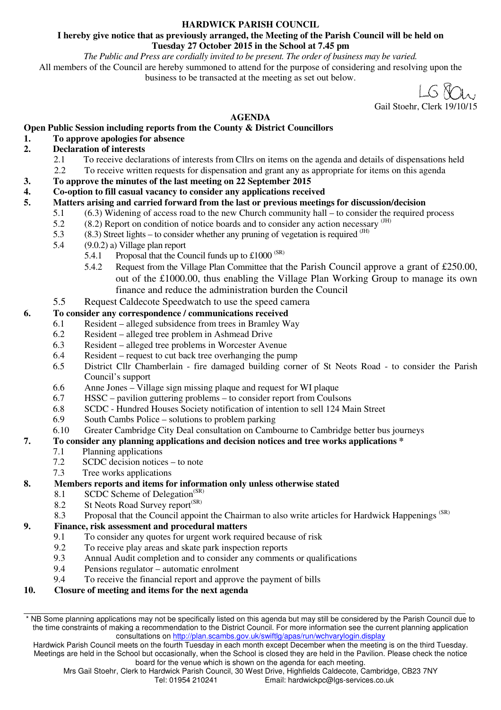#### **HARDWICK PARISH COUNCIL**

#### **I hereby give notice that as previously arranged, the Meeting of the Parish Council will be held on Tuesday 27 October 2015 in the School at 7.45 pm**

*The Public and Press are cordially invited to be present. The order of business may be varied.* 

All members of the Council are hereby summoned to attend for the purpose of considering and resolving upon the business to be transacted at the meeting as set out below.

 $1.6$   $80$ . Gail Stoehr, Clerk 19/10/1

#### **AGENDA**

## **Open Public Session including reports from the County & District Councillors**

#### **1. To approve apologies for absence**

## **2. Declaration of interests**

- 2.1 To receive declarations of interests from Cllrs on items on the agenda and details of dispensations held<br>2.2 To receive written requests for dispensation and grant any as appropriate for items on this agenda
- 2.2 To receive written requests for dispensation and grant any as appropriate for items on this agenda
- **3. To approve the minutes of the last meeting on 22 September 2015**
- **4. Co-option to fill casual vacancy to consider any applications received**

#### **5. Matters arising and carried forward from the last or previous meetings for discussion/decision**

- 5.1 (6.3) Widening of access road to the new Church community hall to consider the required process
- $5.2$  (8.2) Report on condition of notice boards and to consider any action necessary  $\frac{(HH)}{(HH)}$
- 5.3 (8.3) Street lights to consider whether any pruning of vegetation is required <sup>(JH)</sup><br>5.4 (9.0.2) a) Village plan report
- $(9.0.2)$  a) Village plan report
	- 5.4.1 Proposal that the Council funds up to  $\text{\pounds}1000^{\text{(SR)}}$
	- 5.4.2 Request from the Village Plan Committee that the Parish Council approve a grant of £250.00, out of the £1000.00, thus enabling the Village Plan Working Group to manage its own finance and reduce the administration burden the Council
- 5.5 Request Caldecote Speedwatch to use the speed camera

#### **6. To consider any correspondence / communications received**

- 6.1 Resident alleged subsidence from trees in Bramley Way
- 6.2 Resident alleged tree problem in Ashmead Drive
- 6.3 Resident alleged tree problems in Worcester Avenue
- 6.4 Resident request to cut back tree overhanging the pump
- 6.5 District Cllr Chamberlain fire damaged building corner of St Neots Road to consider the Parish Council's support
- 6.6 Anne Jones Village sign missing plaque and request for WI plaque
- 6.7 HSSC pavilion guttering problems to consider report from Coulsons
- 6.8 SCDC Hundred Houses Society notification of intention to sell 124 Main Street
- 6.9 South Cambs Police solutions to problem parking
- 6.10 Greater Cambridge City Deal consultation on Cambourne to Cambridge better bus journeys

#### **7. To consider any planning applications and decision notices and tree works applications \***

- 7.1 Planning applications
- 7.2 SCDC decision notices to note
- 7.3 Tree works applications

#### **8. Members reports and items for information only unless otherwise stated**

- 8.1 SCDC Scheme of Delegation<sup>(SR)</sup><br>8.2 St Neots Road Survey report<sup>(SR)</sup>
- St Neots Road Survey report<sup>(SR)</sup>
- 8.3 Proposal that the Council appoint the Chairman to also write articles for Hardwick Happenings<sup>(SR)</sup>

#### **9. Finance, risk assessment and procedural matters**

- 9.1 To consider any quotes for urgent work required because of risk
- 9.2 To receive play areas and skate park inspection reports
- 9.3 Annual Audit completion and to consider any comments or qualifications
- 9.4 Pensions regulator automatic enrolment
- 9.4 To receive the financial report and approve the payment of bills
- **10. Closure of meeting and items for the next agenda**

Hardwick Parish Council meets on the fourth Tuesday in each month except December when the meeting is on the third Tuesday. Meetings are held in the School but occasionally, when the School is closed they are held in the Pavilion. Please check the notice board for the venue which is shown on the agenda for each meeting.

<sup>\*</sup> NB Some planning applications may not be specifically listed on this agenda but may still be considered by the Parish Council due to the time constraints of making a recommendation to the District Council. For more information see the current planning application consultations on http://plan.scambs.gov.uk/swiftlg/apas/run/wchvarylogin.display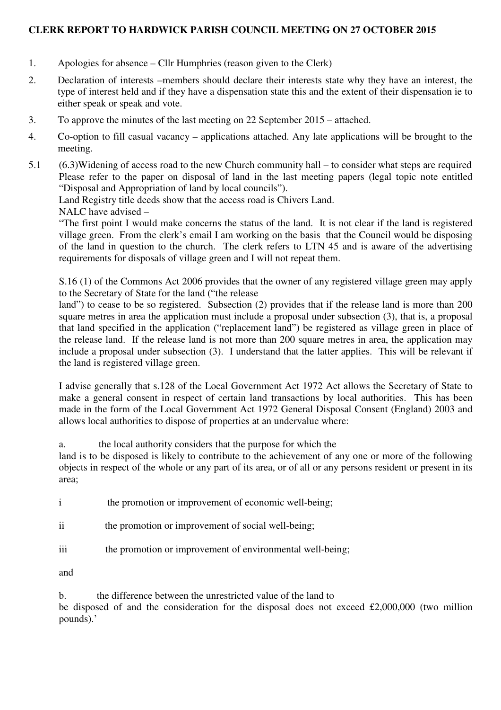#### **CLERK REPORT TO HARDWICK PARISH COUNCIL MEETING ON 27 OCTOBER 2015**

- 1. Apologies for absence Cllr Humphries (reason given to the Clerk)
- 2. Declaration of interests –members should declare their interests state why they have an interest, the type of interest held and if they have a dispensation state this and the extent of their dispensation ie to either speak or speak and vote.
- 3. To approve the minutes of the last meeting on 22 September 2015 attached.
- 4. Co-option to fill casual vacancy applications attached. Any late applications will be brought to the meeting.
- 5.1 (6.3)Widening of access road to the new Church community hall to consider what steps are required Please refer to the paper on disposal of land in the last meeting papers (legal topic note entitled "Disposal and Appropriation of land by local councils").
	- Land Registry title deeds show that the access road is Chivers Land.

NALC have advised –

"The first point I would make concerns the status of the land. It is not clear if the land is registered village green. From the clerk's email I am working on the basis that the Council would be disposing of the land in question to the church. The clerk refers to LTN 45 and is aware of the advertising requirements for disposals of village green and I will not repeat them.

S.16 (1) of the Commons Act 2006 provides that the owner of any registered village green may apply to the Secretary of State for the land ("the release

land") to cease to be so registered. Subsection (2) provides that if the release land is more than 200 square metres in area the application must include a proposal under subsection (3), that is, a proposal that land specified in the application ("replacement land") be registered as village green in place of the release land. If the release land is not more than 200 square metres in area, the application may include a proposal under subsection (3). I understand that the latter applies. This will be relevant if the land is registered village green.

I advise generally that s.128 of the Local Government Act 1972 Act allows the Secretary of State to make a general consent in respect of certain land transactions by local authorities. This has been made in the form of the Local Government Act 1972 General Disposal Consent (England) 2003 and allows local authorities to dispose of properties at an undervalue where:

a. the local authority considers that the purpose for which the

land is to be disposed is likely to contribute to the achievement of any one or more of the following objects in respect of the whole or any part of its area, or of all or any persons resident or present in its area;

i the promotion or improvement of economic well-being;

- ii the promotion or improvement of social well-being;
- iii the promotion or improvement of environmental well-being;

and

b. the difference between the unrestricted value of the land to be disposed of and the consideration for the disposal does not exceed £2,000,000 (two million pounds).'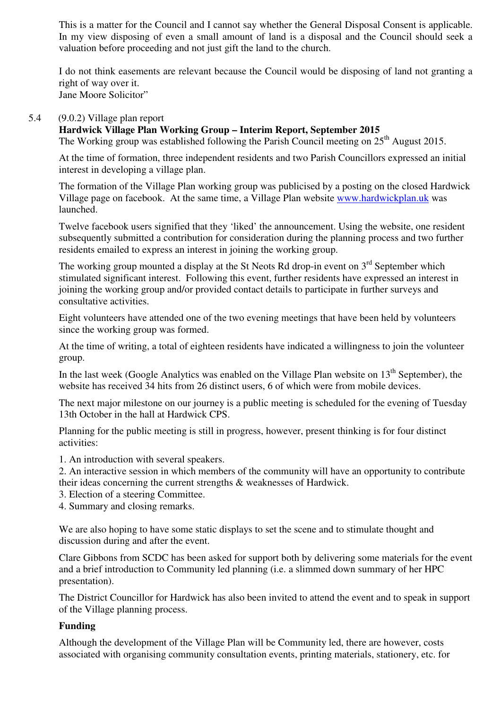This is a matter for the Council and I cannot say whether the General Disposal Consent is applicable. In my view disposing of even a small amount of land is a disposal and the Council should seek a valuation before proceeding and not just gift the land to the church.

I do not think easements are relevant because the Council would be disposing of land not granting a right of way over it. Jane Moore Solicitor"

#### 5.4 (9.0.2) Village plan report

#### **Hardwick Village Plan Working Group – Interim Report, September 2015**

The Working group was established following the Parish Council meeting on  $25<sup>th</sup>$  August 2015.

At the time of formation, three independent residents and two Parish Councillors expressed an initial interest in developing a village plan.

The formation of the Village Plan working group was publicised by a posting on the closed Hardwick Village page on facebook. At the same time, a Village Plan website www.hardwickplan.uk was launched.

Twelve facebook users signified that they 'liked' the announcement. Using the website, one resident subsequently submitted a contribution for consideration during the planning process and two further residents emailed to express an interest in joining the working group.

The working group mounted a display at the St Neots Rd drop-in event on  $3<sup>rd</sup>$  September which stimulated significant interest. Following this event, further residents have expressed an interest in joining the working group and/or provided contact details to participate in further surveys and consultative activities.

Eight volunteers have attended one of the two evening meetings that have been held by volunteers since the working group was formed.

At the time of writing, a total of eighteen residents have indicated a willingness to join the volunteer group.

In the last week (Google Analytics was enabled on the Village Plan website on  $13<sup>th</sup>$  September), the website has received 34 hits from 26 distinct users, 6 of which were from mobile devices.

The next major milestone on our journey is a public meeting is scheduled for the evening of Tuesday 13th October in the hall at Hardwick CPS.

Planning for the public meeting is still in progress, however, present thinking is for four distinct activities:

1. An introduction with several speakers.

2. An interactive session in which members of the community will have an opportunity to contribute their ideas concerning the current strengths & weaknesses of Hardwick.

- 3. Election of a steering Committee.
- 4. Summary and closing remarks.

We are also hoping to have some static displays to set the scene and to stimulate thought and discussion during and after the event.

Clare Gibbons from SCDC has been asked for support both by delivering some materials for the event and a brief introduction to Community led planning (i.e. a slimmed down summary of her HPC presentation).

The District Councillor for Hardwick has also been invited to attend the event and to speak in support of the Village planning process.

#### **Funding**

Although the development of the Village Plan will be Community led, there are however, costs associated with organising community consultation events, printing materials, stationery, etc. for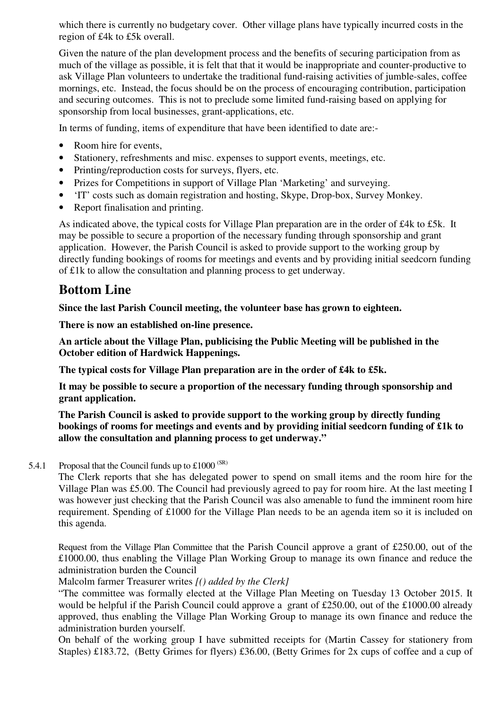which there is currently no budgetary cover. Other village plans have typically incurred costs in the region of £4k to £5k overall.

Given the nature of the plan development process and the benefits of securing participation from as much of the village as possible, it is felt that that it would be inappropriate and counter-productive to ask Village Plan volunteers to undertake the traditional fund-raising activities of jumble-sales, coffee mornings, etc. Instead, the focus should be on the process of encouraging contribution, participation and securing outcomes. This is not to preclude some limited fund-raising based on applying for sponsorship from local businesses, grant-applications, etc.

In terms of funding, items of expenditure that have been identified to date are:-

- Room hire for events,
- Stationery, refreshments and misc. expenses to support events, meetings, etc.
- Printing/reproduction costs for surveys, flyers, etc.
- Prizes for Competitions in support of Village Plan 'Marketing' and surveying.
- 'IT' costs such as domain registration and hosting, Skype, Drop-box, Survey Monkey.
- Report finalisation and printing.

As indicated above, the typical costs for Village Plan preparation are in the order of £4k to £5k. It may be possible to secure a proportion of the necessary funding through sponsorship and grant application. However, the Parish Council is asked to provide support to the working group by directly funding bookings of rooms for meetings and events and by providing initial seedcorn funding of £1k to allow the consultation and planning process to get underway.

## **Bottom Line**

**Since the last Parish Council meeting, the volunteer base has grown to eighteen.** 

**There is now an established on-line presence.** 

**An article about the Village Plan, publicising the Public Meeting will be published in the October edition of Hardwick Happenings.** 

**The typical costs for Village Plan preparation are in the order of £4k to £5k.** 

**It may be possible to secure a proportion of the necessary funding through sponsorship and grant application.** 

**The Parish Council is asked to provide support to the working group by directly funding bookings of rooms for meetings and events and by providing initial seedcorn funding of £1k to allow the consultation and planning process to get underway."** 

5.4.1 Proposal that the Council funds up to  $\text{\pounds}1000^{\text{(SR)}}$ 

The Clerk reports that she has delegated power to spend on small items and the room hire for the Village Plan was £5.00. The Council had previously agreed to pay for room hire. At the last meeting I was however just checking that the Parish Council was also amenable to fund the imminent room hire requirement. Spending of £1000 for the Village Plan needs to be an agenda item so it is included on this agenda.

Request from the Village Plan Committee that the Parish Council approve a grant of £250.00, out of the £1000.00, thus enabling the Village Plan Working Group to manage its own finance and reduce the administration burden the Council

Malcolm farmer Treasurer writes *[() added by the Clerk]*

"The committee was formally elected at the Village Plan Meeting on Tuesday 13 October 2015. It would be helpful if the Parish Council could approve a grant of £250.00, out of the £1000.00 already approved, thus enabling the Village Plan Working Group to manage its own finance and reduce the administration burden yourself.

On behalf of the working group I have submitted receipts for (Martin Cassey for stationery from Staples) £183.72, (Betty Grimes for flyers) £36.00, (Betty Grimes for 2x cups of coffee and a cup of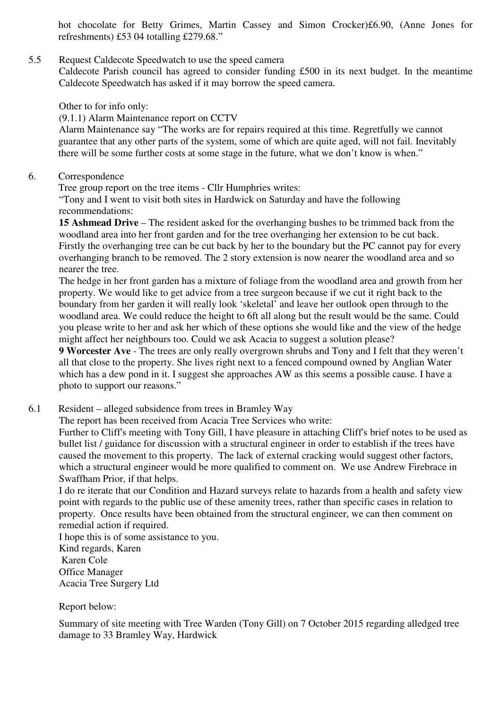hot chocolate for Betty Grimes, Martin Cassey and Simon Crocker)£6.90, (Anne Jones for refreshments) £53 04 totalling £279.68."

#### 5.5 Request Caldecote Speedwatch to use the speed camera

Caldecote Parish council has agreed to consider funding £500 in its next budget. In the meantime Caldecote Speedwatch has asked if it may borrow the speed camera.

Other to for info only:

(9.1.1) Alarm Maintenance report on CCTV

 Alarm Maintenance say "The works are for repairs required at this time. Regretfully we cannot guarantee that any other parts of the system, some of which are quite aged, will not fail. Inevitably there will be some further costs at some stage in the future, what we don't know is when."

#### 6. Correspondence

Tree group report on the tree items - Cllr Humphries writes:

"Tony and I went to visit both sites in Hardwick on Saturday and have the following recommendations:

**15 Ashmead Drive** – The resident asked for the overhanging bushes to be trimmed back from the woodland area into her front garden and for the tree overhanging her extension to be cut back. Firstly the overhanging tree can be cut back by her to the boundary but the PC cannot pay for every overhanging branch to be removed. The 2 story extension is now nearer the woodland area and so nearer the tree.

The hedge in her front garden has a mixture of foliage from the woodland area and growth from her property. We would like to get advice from a tree surgeon because if we cut it right back to the boundary from her garden it will really look 'skeletal' and leave her outlook open through to the woodland area. We could reduce the height to 6ft all along but the result would be the same. Could you please write to her and ask her which of these options she would like and the view of the hedge might affect her neighbours too. Could we ask Acacia to suggest a solution please?

**9 Worcester Ave** - The trees are only really overgrown shrubs and Tony and I felt that they weren't all that close to the property. She lives right next to a fenced compound owned by Anglian Water which has a dew pond in it. I suggest she approaches AW as this seems a possible cause. I have a photo to support our reasons."

6.1 Resident – alleged subsidence from trees in Bramley Way

The report has been received from Acacia Tree Services who write:

Further to Cliff's meeting with Tony Gill, I have pleasure in attaching Cliff's brief notes to be used as bullet list / guidance for discussion with a structural engineer in order to establish if the trees have caused the movement to this property. The lack of external cracking would suggest other factors, which a structural engineer would be more qualified to comment on. We use Andrew Firebrace in Swaffham Prior, if that helps.

I do re iterate that our Condition and Hazard surveys relate to hazards from a health and safety view point with regards to the public use of these amenity trees, rather than specific cases in relation to property. Once results have been obtained from the structural engineer, we can then comment on remedial action if required.

I hope this is of some assistance to you. Kind regards, Karen Karen Cole Office Manager Acacia Tree Surgery Ltd

Report below:

Summary of site meeting with Tree Warden (Tony Gill) on 7 October 2015 regarding alledged tree damage to 33 Bramley Way, Hardwick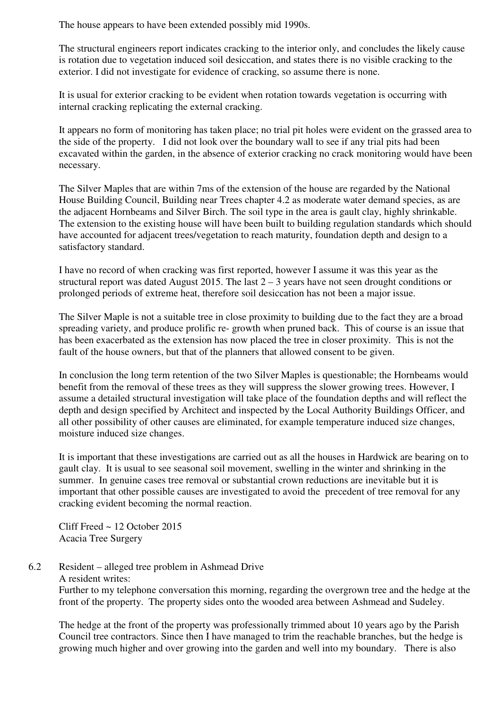The house appears to have been extended possibly mid 1990s.

The structural engineers report indicates cracking to the interior only, and concludes the likely cause is rotation due to vegetation induced soil desiccation, and states there is no visible cracking to the exterior. I did not investigate for evidence of cracking, so assume there is none.

It is usual for exterior cracking to be evident when rotation towards vegetation is occurring with internal cracking replicating the external cracking.

It appears no form of monitoring has taken place; no trial pit holes were evident on the grassed area to the side of the property. I did not look over the boundary wall to see if any trial pits had been excavated within the garden, in the absence of exterior cracking no crack monitoring would have been necessary.

The Silver Maples that are within 7ms of the extension of the house are regarded by the National House Building Council, Building near Trees chapter 4.2 as moderate water demand species, as are the adjacent Hornbeams and Silver Birch. The soil type in the area is gault clay, highly shrinkable. The extension to the existing house will have been built to building regulation standards which should have accounted for adjacent trees/vegetation to reach maturity, foundation depth and design to a satisfactory standard.

I have no record of when cracking was first reported, however I assume it was this year as the structural report was dated August 2015. The last  $2 - 3$  years have not seen drought conditions or prolonged periods of extreme heat, therefore soil desiccation has not been a major issue.

The Silver Maple is not a suitable tree in close proximity to building due to the fact they are a broad spreading variety, and produce prolific re- growth when pruned back. This of course is an issue that has been exacerbated as the extension has now placed the tree in closer proximity. This is not the fault of the house owners, but that of the planners that allowed consent to be given.

In conclusion the long term retention of the two Silver Maples is questionable; the Hornbeams would benefit from the removal of these trees as they will suppress the slower growing trees. However, I assume a detailed structural investigation will take place of the foundation depths and will reflect the depth and design specified by Architect and inspected by the Local Authority Buildings Officer, and all other possibility of other causes are eliminated, for example temperature induced size changes, moisture induced size changes.

It is important that these investigations are carried out as all the houses in Hardwick are bearing on to gault clay. It is usual to see seasonal soil movement, swelling in the winter and shrinking in the summer. In genuine cases tree removal or substantial crown reductions are inevitable but it is important that other possible causes are investigated to avoid the precedent of tree removal for any cracking evident becoming the normal reaction.

Cliff Freed ~ 12 October 2015 Acacia Tree Surgery

6.2 Resident – alleged tree problem in Ashmead Drive A resident writes: Further to my telephone conversation this morning, regarding the overgrown tree and the hedge at the front of the property. The property sides onto the wooded area between Ashmead and Sudeley.

The hedge at the front of the property was professionally trimmed about 10 years ago by the Parish Council tree contractors. Since then I have managed to trim the reachable branches, but the hedge is growing much higher and over growing into the garden and well into my boundary. There is also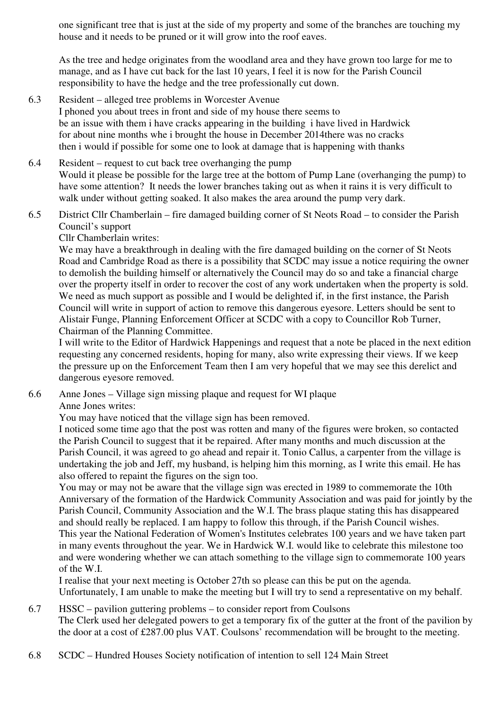one significant tree that is just at the side of my property and some of the branches are touching my house and it needs to be pruned or it will grow into the roof eaves.

As the tree and hedge originates from the woodland area and they have grown too large for me to manage, and as I have cut back for the last 10 years, I feel it is now for the Parish Council responsibility to have the hedge and the tree professionally cut down.

- 6.3 Resident alleged tree problems in Worcester Avenue I phoned you about trees in front and side of my house there seems to be an issue with them i have cracks appearing in the building i have lived in Hardwick for about nine months whe i brought the house in December 2014there was no cracks then i would if possible for some one to look at damage that is happening with thanks
- 6.4 Resident request to cut back tree overhanging the pump Would it please be possible for the large tree at the bottom of Pump Lane (overhanging the pump) to have some attention? It needs the lower branches taking out as when it rains it is very difficult to walk under without getting soaked. It also makes the area around the pump very dark.
- 6.5 District Cllr Chamberlain fire damaged building corner of St Neots Road to consider the Parish Council's support

Cllr Chamberlain writes:

We may have a breakthrough in dealing with the fire damaged building on the corner of St Neots Road and Cambridge Road as there is a possibility that SCDC may issue a notice requiring the owner to demolish the building himself or alternatively the Council may do so and take a financial charge over the property itself in order to recover the cost of any work undertaken when the property is sold. We need as much support as possible and I would be delighted if, in the first instance, the Parish Council will write in support of action to remove this dangerous eyesore. Letters should be sent to Alistair Funge, Planning Enforcement Officer at SCDC with a copy to Councillor Rob Turner, Chairman of the Planning Committee.

I will write to the Editor of Hardwick Happenings and request that a note be placed in the next edition requesting any concerned residents, hoping for many, also write expressing their views. If we keep the pressure up on the Enforcement Team then I am very hopeful that we may see this derelict and dangerous eyesore removed.

6.6 Anne Jones – Village sign missing plaque and request for WI plaque Anne Jones writes:

You may have noticed that the village sign has been removed.

I noticed some time ago that the post was rotten and many of the figures were broken, so contacted the Parish Council to suggest that it be repaired. After many months and much discussion at the Parish Council, it was agreed to go ahead and repair it. Tonio Callus, a carpenter from the village is undertaking the job and Jeff, my husband, is helping him this morning, as I write this email. He has also offered to repaint the figures on the sign too.

You may or may not be aware that the village sign was erected in 1989 to commemorate the 10th Anniversary of the formation of the Hardwick Community Association and was paid for jointly by the Parish Council, Community Association and the W.I. The brass plaque stating this has disappeared and should really be replaced. I am happy to follow this through, if the Parish Council wishes. This year the National Federation of Women's Institutes celebrates 100 years and we have taken part in many events throughout the year. We in Hardwick W.I. would like to celebrate this milestone too and were wondering whether we can attach something to the village sign to commemorate 100 years of the W.I.

I realise that your next meeting is October 27th so please can this be put on the agenda. Unfortunately, I am unable to make the meeting but I will try to send a representative on my behalf.

- 6.7 HSSC pavilion guttering problems to consider report from Coulsons The Clerk used her delegated powers to get a temporary fix of the gutter at the front of the pavilion by the door at a cost of £287.00 plus VAT. Coulsons' recommendation will be brought to the meeting.
- 6.8 SCDC Hundred Houses Society notification of intention to sell 124 Main Street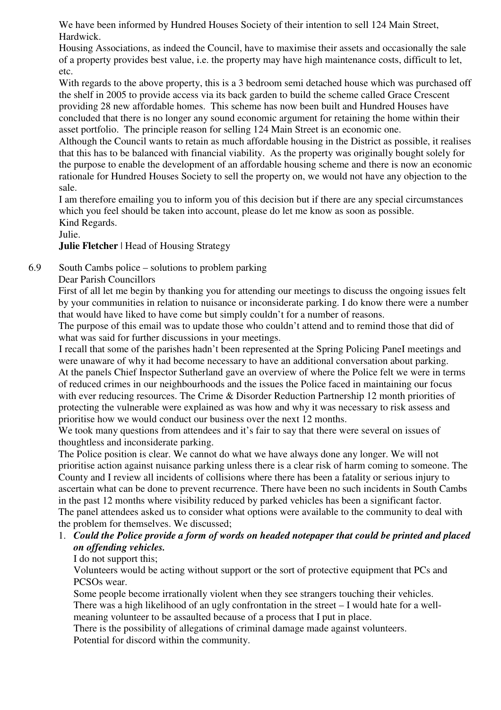We have been informed by Hundred Houses Society of their intention to sell 124 Main Street, Hardwick.

Housing Associations, as indeed the Council, have to maximise their assets and occasionally the sale of a property provides best value, i.e. the property may have high maintenance costs, difficult to let, etc.

With regards to the above property, this is a 3 bedroom semi detached house which was purchased off the shelf in 2005 to provide access via its back garden to build the scheme called Grace Crescent providing 28 new affordable homes. This scheme has now been built and Hundred Houses have concluded that there is no longer any sound economic argument for retaining the home within their asset portfolio. The principle reason for selling 124 Main Street is an economic one.

Although the Council wants to retain as much affordable housing in the District as possible, it realises that this has to be balanced with financial viability. As the property was originally bought solely for the purpose to enable the development of an affordable housing scheme and there is now an economic rationale for Hundred Houses Society to sell the property on, we would not have any objection to the sale.

I am therefore emailing you to inform you of this decision but if there are any special circumstances which you feel should be taken into account, please do let me know as soon as possible. Kind Regards.

#### Julie.

#### **Julie Fletcher** | Head of Housing Strategy

#### 6.9 South Cambs police – solutions to problem parking

#### Dear Parish Councillors

First of all let me begin by thanking you for attending our meetings to discuss the ongoing issues felt by your communities in relation to nuisance or inconsiderate parking. I do know there were a number that would have liked to have come but simply couldn't for a number of reasons.

The purpose of this email was to update those who couldn't attend and to remind those that did of what was said for further discussions in your meetings.

I recall that some of the parishes hadn't been represented at the Spring Policing PaneI meetings and were unaware of why it had become necessary to have an additional conversation about parking. At the panels Chief Inspector Sutherland gave an overview of where the Police felt we were in terms of reduced crimes in our neighbourhoods and the issues the Police faced in maintaining our focus with ever reducing resources. The Crime & Disorder Reduction Partnership 12 month priorities of protecting the vulnerable were explained as was how and why it was necessary to risk assess and prioritise how we would conduct our business over the next 12 months.

We took many questions from attendees and it's fair to say that there were several on issues of thoughtless and inconsiderate parking.

The Police position is clear. We cannot do what we have always done any longer. We will not prioritise action against nuisance parking unless there is a clear risk of harm coming to someone. The County and I review all incidents of collisions where there has been a fatality or serious injury to ascertain what can be done to prevent recurrence. There have been no such incidents in South Cambs in the past 12 months where visibility reduced by parked vehicles has been a significant factor. The panel attendees asked us to consider what options were available to the community to deal with the problem for themselves. We discussed;

## 1. *Could the Police provide a form of words on headed notepaper that could be printed and placed on offending vehicles.*

#### I do not support this;

Volunteers would be acting without support or the sort of protective equipment that PCs and PCSOs wear.

Some people become irrationally violent when they see strangers touching their vehicles. There was a high likelihood of an ugly confrontation in the street – I would hate for a wellmeaning volunteer to be assaulted because of a process that I put in place.

There is the possibility of allegations of criminal damage made against volunteers. Potential for discord within the community.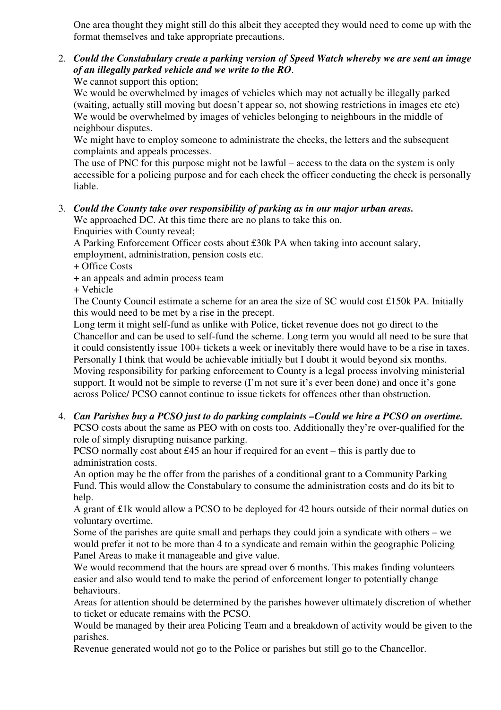One area thought they might still do this albeit they accepted they would need to come up with the format themselves and take appropriate precautions.

2. *Could the Constabulary create a parking version of Speed Watch whereby we are sent an image of an illegally parked vehicle and we write to the RO*. We cannot support this option;

We would be overwhelmed by images of vehicles which may not actually be illegally parked (waiting, actually still moving but doesn't appear so, not showing restrictions in images etc etc) We would be overwhelmed by images of vehicles belonging to neighbours in the middle of neighbour disputes.

We might have to employ someone to administrate the checks, the letters and the subsequent complaints and appeals processes.

The use of PNC for this purpose might not be lawful – access to the data on the system is only accessible for a policing purpose and for each check the officer conducting the check is personally liable.

## 3. *Could the County take over responsibility of parking as in our major urban areas.*

We approached DC. At this time there are no plans to take this on. Enquiries with County reveal;

A Parking Enforcement Officer costs about £30k PA when taking into account salary, employment, administration, pension costs etc.

- + Office Costs
- + an appeals and admin process team

+ Vehicle

The County Council estimate a scheme for an area the size of SC would cost £150k PA. Initially this would need to be met by a rise in the precept.

Long term it might self-fund as unlike with Police, ticket revenue does not go direct to the Chancellor and can be used to self-fund the scheme. Long term you would all need to be sure that it could consistently issue 100+ tickets a week or inevitably there would have to be a rise in taxes. Personally I think that would be achievable initially but I doubt it would beyond six months. Moving responsibility for parking enforcement to County is a legal process involving ministerial support. It would not be simple to reverse (I'm not sure it's ever been done) and once it's gone across Police/ PCSO cannot continue to issue tickets for offences other than obstruction.

4. *Can Parishes buy a PCSO just to do parking complaints –Could we hire a PCSO on overtime.* PCSO costs about the same as PEO with on costs too. Additionally they're over-qualified for the role of simply disrupting nuisance parking.

PCSO normally cost about £45 an hour if required for an event – this is partly due to administration costs.

An option may be the offer from the parishes of a conditional grant to a Community Parking Fund. This would allow the Constabulary to consume the administration costs and do its bit to help.

A grant of £1k would allow a PCSO to be deployed for 42 hours outside of their normal duties on voluntary overtime.

Some of the parishes are quite small and perhaps they could join a syndicate with others – we would prefer it not to be more than 4 to a syndicate and remain within the geographic Policing Panel Areas to make it manageable and give value.

We would recommend that the hours are spread over 6 months. This makes finding volunteers easier and also would tend to make the period of enforcement longer to potentially change behaviours.

Areas for attention should be determined by the parishes however ultimately discretion of whether to ticket or educate remains with the PCSO.

Would be managed by their area Policing Team and a breakdown of activity would be given to the parishes.

Revenue generated would not go to the Police or parishes but still go to the Chancellor.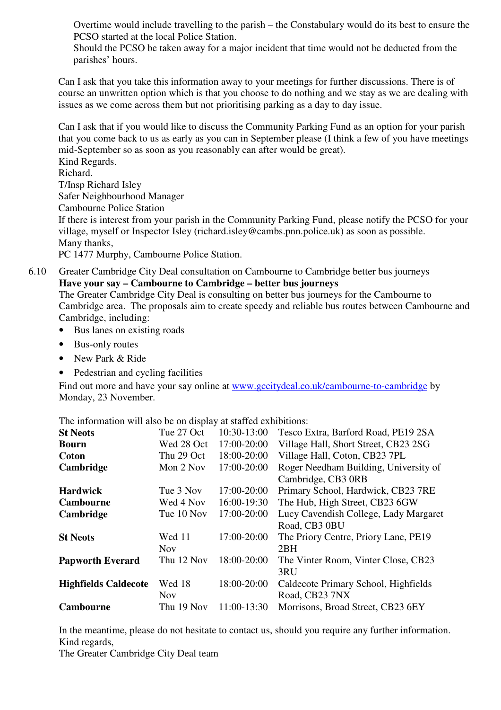Overtime would include travelling to the parish – the Constabulary would do its best to ensure the PCSO started at the local Police Station.

Should the PCSO be taken away for a major incident that time would not be deducted from the parishes' hours.

Can I ask that you take this information away to your meetings for further discussions. There is of course an unwritten option which is that you choose to do nothing and we stay as we are dealing with issues as we come across them but not prioritising parking as a day to day issue.

Can I ask that if you would like to discuss the Community Parking Fund as an option for your parish that you come back to us as early as you can in September please (I think a few of you have meetings mid-September so as soon as you reasonably can after would be great). Kind Regards. Richard. T/Insp Richard Isley Safer Neighbourhood Manager Cambourne Police Station If there is interest from your parish in the Community Parking Fund, please notify the PCSO for your village, myself or Inspector Isley (richard.isley@cambs.pnn.police.uk) as soon as possible. Many thanks, PC 1477 Murphy, Cambourne Police Station.

6.10 Greater Cambridge City Deal consultation on Cambourne to Cambridge better bus journeys **Have your say – Cambourne to Cambridge – better bus journeys** 

The Greater Cambridge City Deal is consulting on better bus journeys for the Cambourne to Cambridge area. The proposals aim to create speedy and reliable bus routes between Cambourne and Cambridge, including:

- Bus lanes on existing roads
- Bus-only routes
- New Park & Ride
- Pedestrian and cycling facilities

Find out more and have your say online at www.gccitydeal.co.uk/cambourne-to-cambridge by Monday, 23 November.

The information will also be on display at staffed exhibitions:

| <b>St Neots</b>             | Tue 27 Oct | 10:30-13:00 | Tesco Extra, Barford Road, PE19 2SA   |
|-----------------------------|------------|-------------|---------------------------------------|
| <b>Bourn</b>                | Wed 28 Oct | 17:00-20:00 | Village Hall, Short Street, CB23 2SG  |
| <b>Coton</b>                | Thu 29 Oct | 18:00-20:00 | Village Hall, Coton, CB23 7PL         |
| Cambridge                   | Mon 2 Nov  | 17:00-20:00 | Roger Needham Building, University of |
|                             |            |             | Cambridge, CB3 0RB                    |
| <b>Hardwick</b>             | Tue 3 Nov  | 17:00-20:00 | Primary School, Hardwick, CB23 7RE    |
| <b>Cambourne</b>            | Wed 4 Nov  | 16:00-19:30 | The Hub, High Street, CB23 6GW        |
| Cambridge                   | Tue 10 Nov | 17:00-20:00 | Lucy Cavendish College, Lady Margaret |
|                             |            |             | Road, CB3 0BU                         |
| <b>St Neots</b>             | Wed 11     | 17:00-20:00 | The Priory Centre, Priory Lane, PE19  |
|                             | <b>Nov</b> |             | 2BH                                   |
| <b>Papworth Everard</b>     | Thu 12 Nov | 18:00-20:00 | The Vinter Room, Vinter Close, CB23   |
|                             |            |             | 3RU                                   |
| <b>Highfields Caldecote</b> | Wed 18     | 18:00-20:00 | Caldecote Primary School, Highfields  |
|                             | <b>Nov</b> |             | Road, CB23 7NX                        |
| <b>Cambourne</b>            | Thu 19 Nov | 11:00-13:30 | Morrisons, Broad Street, CB23 6EY     |

In the meantime, please do not hesitate to contact us, should you require any further information. Kind regards,

The Greater Cambridge City Deal team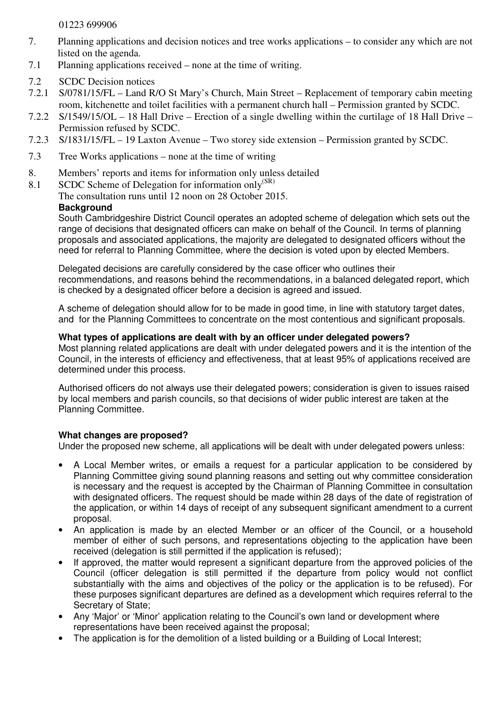01223 699906

- 7. Planning applications and decision notices and tree works applications to consider any which are not listed on the agenda.
- 7.1 Planning applications received none at the time of writing.
- 7.2 SCDC Decision notices
- 7.2.1 S/0781/15/FL Land R/O St Mary's Church, Main Street Replacement of temporary cabin meeting room, kitchenette and toilet facilities with a permanent church hall – Permission granted by SCDC.
- 7.2.2 S/1549/15/OL 18 Hall Drive Erection of a single dwelling within the curtilage of 18 Hall Drive Permission refused by SCDC.
- 7.2.3 S/1831/15/FL 19 Laxton Avenue Two storey side extension Permission granted by SCDC.
- 7.3 Tree Works applications none at the time of writing
- 8. Members' reports and items for information only unless detailed
- 8.1 SCDC Scheme of Delegation for information only<sup>(SR)</sup>
	- The consultation runs until 12 noon on 28 October 2015.

#### **Background**

South Cambridgeshire District Council operates an adopted scheme of delegation which sets out the range of decisions that designated officers can make on behalf of the Council. In terms of planning proposals and associated applications, the majority are delegated to designated officers without the need for referral to Planning Committee, where the decision is voted upon by elected Members.

Delegated decisions are carefully considered by the case officer who outlines their recommendations, and reasons behind the recommendations, in a balanced delegated report, which is checked by a designated officer before a decision is agreed and issued.

A scheme of delegation should allow for to be made in good time, in line with statutory target dates, and for the Planning Committees to concentrate on the most contentious and significant proposals.

#### **What types of applications are dealt with by an officer under delegated powers?**

Most planning related applications are dealt with under delegated powers and it is the intention of the Council, in the interests of efficiency and effectiveness, that at least 95% of applications received are determined under this process.

Authorised officers do not always use their delegated powers; consideration is given to issues raised by local members and parish councils, so that decisions of wider public interest are taken at the Planning Committee.

#### **What changes are proposed?**

Under the proposed new scheme, all applications will be dealt with under delegated powers unless:

- A Local Member writes, or emails a request for a particular application to be considered by Planning Committee giving sound planning reasons and setting out why committee consideration is necessary and the request is accepted by the Chairman of Planning Committee in consultation with designated officers. The request should be made within 28 days of the date of registration of the application, or within 14 days of receipt of any subsequent significant amendment to a current proposal.
- An application is made by an elected Member or an officer of the Council, or a household member of either of such persons, and representations objecting to the application have been received (delegation is still permitted if the application is refused);
- If approved, the matter would represent a significant departure from the approved policies of the Council (officer delegation is still permitted if the departure from policy would not conflict substantially with the aims and objectives of the policy or the application is to be refused). For these purposes significant departures are defined as a development which requires referral to the Secretary of State;
- Any 'Major' or 'Minor' application relating to the Council's own land or development where representations have been received against the proposal;
- The application is for the demolition of a listed building or a Building of Local Interest;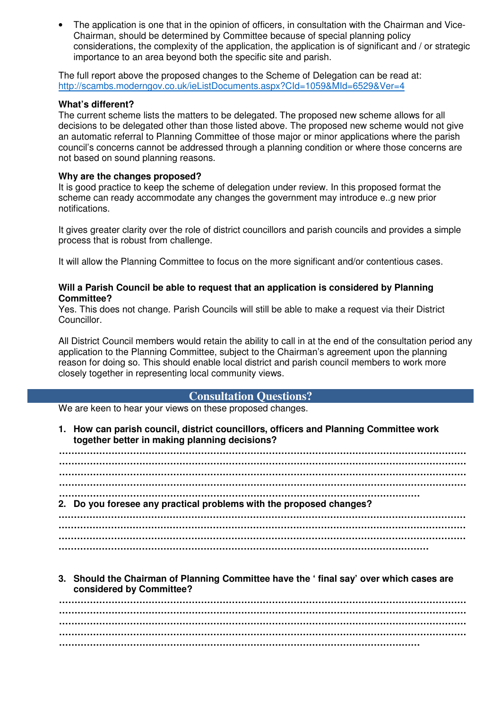• The application is one that in the opinion of officers, in consultation with the Chairman and Vice-Chairman, should be determined by Committee because of special planning policy considerations, the complexity of the application, the application is of significant and / or strategic importance to an area beyond both the specific site and parish.

The full report above the proposed changes to the Scheme of Delegation can be read at: http://scambs.moderngov.co.uk/ieListDocuments.aspx?CId=1059&MId=6529&Ver=4

#### **What's different?**

The current scheme lists the matters to be delegated. The proposed new scheme allows for all decisions to be delegated other than those listed above. The proposed new scheme would not give an automatic referral to Planning Committee of those major or minor applications where the parish council's concerns cannot be addressed through a planning condition or where those concerns are not based on sound planning reasons.

#### **Why are the changes proposed?**

It is good practice to keep the scheme of delegation under review. In this proposed format the scheme can ready accommodate any changes the government may introduce e..g new prior notifications.

It gives greater clarity over the role of district councillors and parish councils and provides a simple process that is robust from challenge.

It will allow the Planning Committee to focus on the more significant and/or contentious cases.

#### **Will a Parish Council be able to request that an application is considered by Planning Committee?**

Yes. This does not change. Parish Councils will still be able to make a request via their District Councillor.

All District Council members would retain the ability to call in at the end of the consultation period any application to the Planning Committee, subject to the Chairman's agreement upon the planning reason for doing so. This should enable local district and parish council members to work more closely together in representing local community views.

#### **Consultation Questions?**

We are keen to hear your views on these proposed changes.

**1. How can parish council, district councillors, officers and Planning Committee work together better in making planning decisions?** 

**…………………………………………………………………………………………………………………… …………………………………………………………………………………………………………………… …………………………………………………………………………………………………………………… …………………………………………………………………………………………………………………… ……………………………………………………………………………………………………… 2. Do you foresee any practical problems with the proposed changes? …………………………………………………………………………………………………………………… …………………………………………………………………………………………………………………… …………………………………………………………………………………………………………………… …………………………………………………………………………………………………………**

**3. Should the Chairman of Planning Committee have the ' final say' over which cases are considered by Committee?** 

**…………………………………………………………………………………………………………………… …………………………………………………………………………………………………………………… …………………………………………………………………………………………………………………… …………………………………………………………………………………………………………………… ………………………………………………………………………………………………………**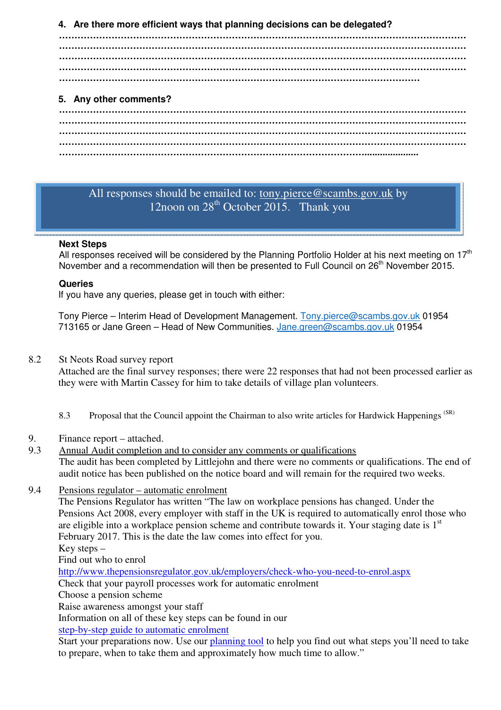#### **4. Are there more efficient ways that planning decisions can be delegated?**

**…………………………………………………………………………………………………………………… …………………………………………………………………………………………………………………… …………………………………………………………………………………………………………………… …………………………………………………………………………………………………………………… ………………………………………………………………………………………………………**

## **5. Any other comments?**

**…………………………………………………………………………………………………………………… …………………………………………………………………………………………………………………… …………………………………………………………………………………………………………………… ……………………………………………………………………………………….....................** 

## All responses should be emailed to: tony.pierce@scambs.gov.uk by 12noon on  $28^{th}$  October 2015. Thank you

#### **Next Steps**

All responses received will be considered by the Planning Portfolio Holder at his next meeting on  $17<sup>th</sup>$ November and a recommendation will then be presented to Full Council on 26<sup>th</sup> November 2015.

#### **Queries**

If you have any queries, please get in touch with either:

Tony Pierce – Interim Head of Development Management. Tony.pierce@scambs.gov.uk 01954 713165 or Jane Green - Head of New Communities. Jane.green@scambs.gov.uk 01954

8.2 St Neots Road survey report

Attached are the final survey responses; there were 22 responses that had not been processed earlier as they were with Martin Cassey for him to take details of village plan volunteers.

- 8.3 Proposal that the Council appoint the Chairman to also write articles for Hardwick Happenings<sup>(SR)</sup>
- 9. Finance report attached.
- 9.3 Annual Audit completion and to consider any comments or qualifications The audit has been completed by Littlejohn and there were no comments or qualifications. The end of audit notice has been published on the notice board and will remain for the required two weeks.
- 9.4 Pensions regulator automatic enrolment

 The Pensions Regulator has written "The law on workplace pensions has changed. Under the Pensions Act 2008, every employer with staff in the UK is required to automatically enrol those who are eligible into a workplace pension scheme and contribute towards it. Your staging date is  $1<sup>st</sup>$ February 2017. This is the date the law comes into effect for you.

Key steps –

Find out who to enrol

http://www.thepensionsregulator.gov.uk/employers/check-who-you-need-to-enrol.aspx

Check that your payroll processes work for automatic enrolment

Choose a pension scheme

Raise awareness amongst your staff

Information on all of these key steps can be found in our step-by-step guide to automatic enrolment

Start your preparations now. Use our planning tool to help you find out what steps you'll need to take to prepare, when to take them and approximately how much time to allow."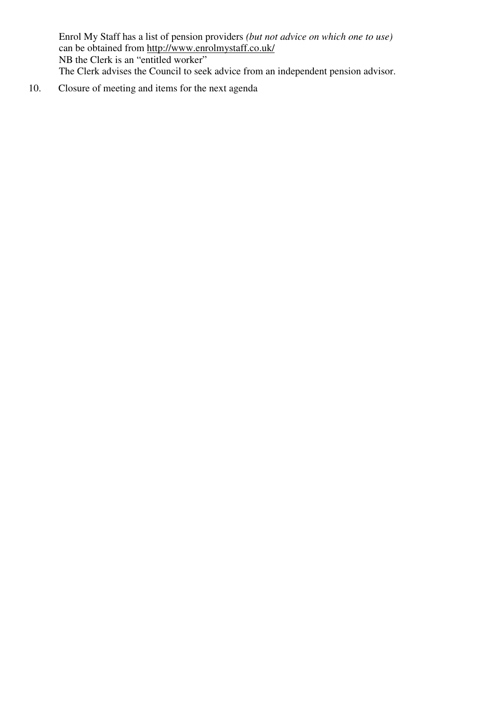Enrol My Staff has a list of pension providers *(but not advice on which one to use)* can be obtained from <u>http://www.enrolmystaff.co.uk/</u> NB the Clerk is an "entitled worker" The Clerk advises the Council to seek advice from an independent pension advisor.

10. Closure of meeting and items for the next agenda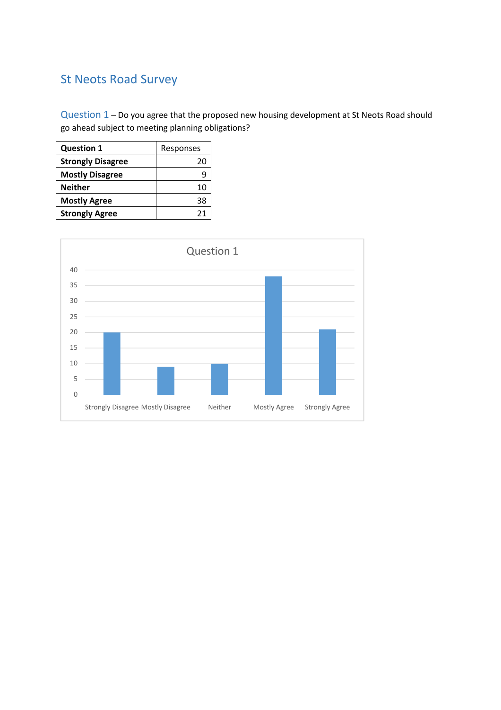# St Neots Road Survey

Question 1 – Do you agree that the proposed new housing development at St Neots Road should go ahead subject to meeting planning obligations?

| <b>Question 1</b>        | Responses |
|--------------------------|-----------|
| <b>Strongly Disagree</b> | 20        |
| <b>Mostly Disagree</b>   | g         |
| <b>Neither</b>           | 10        |
| <b>Mostly Agree</b>      | 38        |
| <b>Strongly Agree</b>    | 21        |

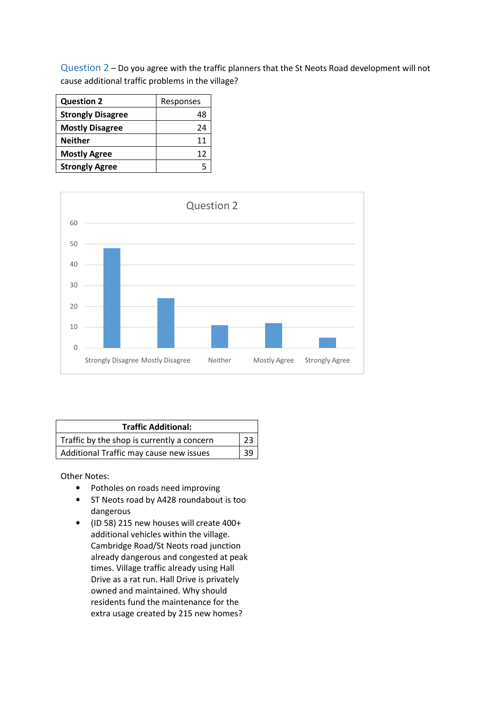Question 2 – Do you agree with the traffic planners that the St Neots Road development will not cause additional traffic problems in the village?

| <b>Question 2</b>        | Responses |
|--------------------------|-----------|
| <b>Strongly Disagree</b> | 48        |
| <b>Mostly Disagree</b>   | 24        |
| <b>Neither</b>           | 11        |
| <b>Mostly Agree</b>      | 12        |
| <b>Strongly Agree</b>    |           |



| <b>Traffic Additional:</b>                 |    |
|--------------------------------------------|----|
| Traffic by the shop is currently a concern | 23 |
| Additional Traffic may cause new issues    |    |

Other Notes:

- Potholes on roads need improving
- ST Neots road by A428 roundabout is too dangerous
- (ID 58) 215 new houses will create 400+ additional vehicles within the village. Cambridge Road/St Neots road junction already dangerous and congested at peak times. Village traffic already using Hall Drive as a rat run. Hall Drive is privately owned and maintained. Why should residents fund the maintenance for the extra usage created by 215 new homes?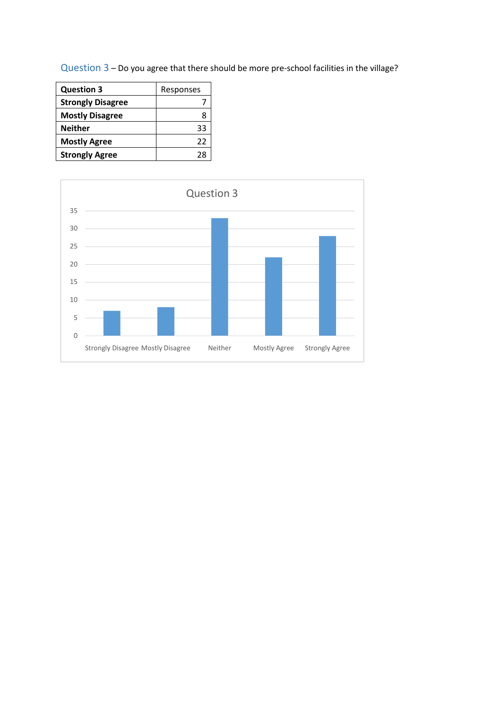Question 3 – Do you agree that there should be more pre-school facilities in the village?

| <b>Question 3</b>        | Responses |  |
|--------------------------|-----------|--|
| <b>Strongly Disagree</b> |           |  |
| <b>Mostly Disagree</b>   |           |  |
| <b>Neither</b>           | 33        |  |
| <b>Mostly Agree</b>      | 22        |  |
| <b>Strongly Agree</b>    | 28        |  |

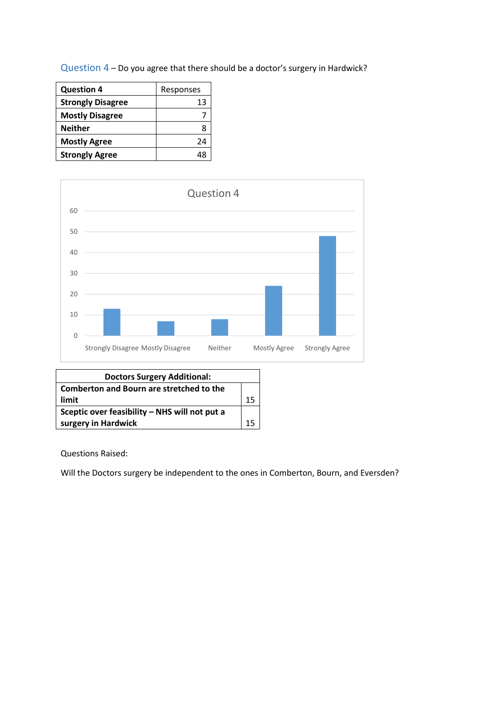Question 4 – Do you agree that there should be a doctor's surgery in Hardwick?

| <b>Question 4</b>        | Responses |
|--------------------------|-----------|
| <b>Strongly Disagree</b> | 13        |
| <b>Mostly Disagree</b>   |           |
| <b>Neither</b>           |           |
| <b>Mostly Agree</b>      | 24        |
| <b>Strongly Agree</b>    |           |



| <b>Doctors Surgery Additional:</b>            |  |
|-----------------------------------------------|--|
| Comberton and Bourn are stretched to the      |  |
| limit                                         |  |
| Sceptic over feasibility - NHS will not put a |  |
| surgery in Hardwick                           |  |

Questions Raised:

Will the Doctors surgery be independent to the ones in Comberton, Bourn, and Eversden?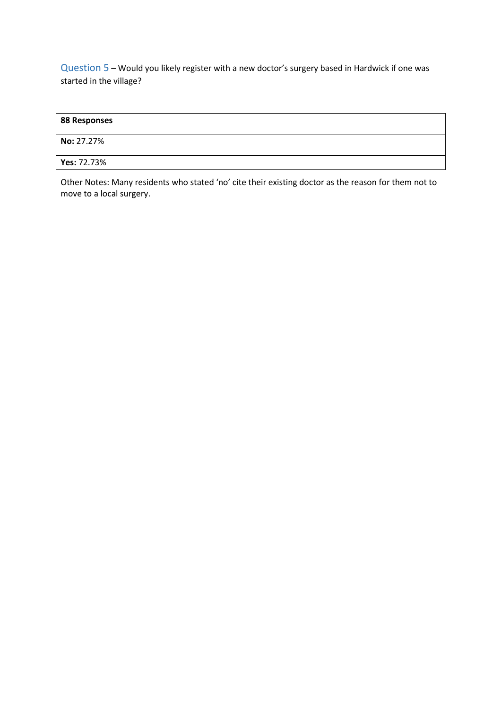Question 5 – Would you likely register with a new doctor's surgery based in Hardwick if one was started in the village?

| 88 Responses |  |
|--------------|--|
| No: 27.27%   |  |
| Yes: 72.73%  |  |

Other Notes: Many residents who stated 'no' cite their existing doctor as the reason for them not to move to a local surgery.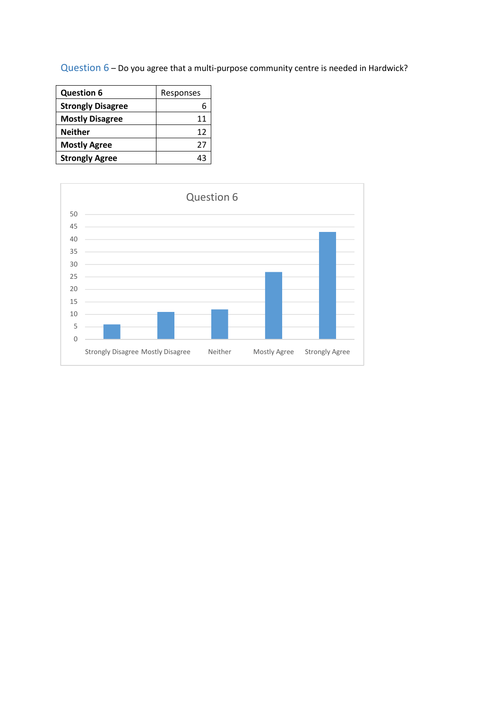Question 6 – Do you agree that a multi-purpose community centre is needed in Hardwick?

| <b>Question 6</b>        | Responses |
|--------------------------|-----------|
| <b>Strongly Disagree</b> |           |
| <b>Mostly Disagree</b>   | 11        |
| <b>Neither</b>           | 12        |
| <b>Mostly Agree</b>      | 27        |
| <b>Strongly Agree</b>    | 43        |

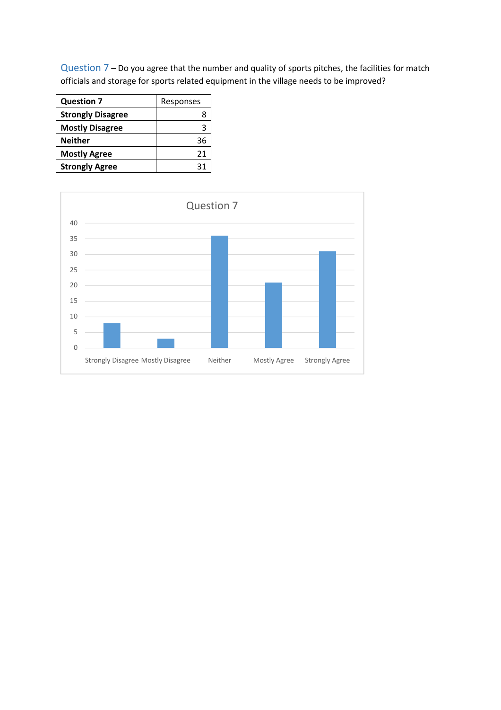Question 7 – Do you agree that the number and quality of sports pitches, the facilities for match officials and storage for sports related equipment in the village needs to be improved?

| <b>Question 7</b>        | Responses |  |
|--------------------------|-----------|--|
| <b>Strongly Disagree</b> |           |  |
| <b>Mostly Disagree</b>   |           |  |
| <b>Neither</b>           | 36        |  |
| <b>Mostly Agree</b>      | 21        |  |
| <b>Strongly Agree</b>    | 31        |  |

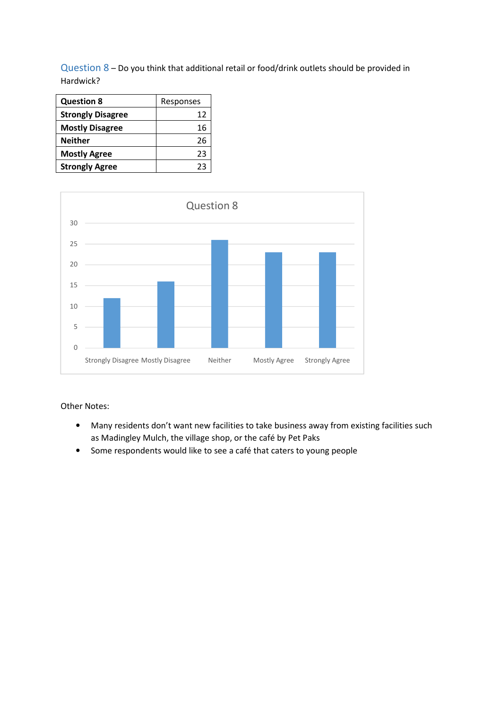Question 8 – Do you think that additional retail or food/drink outlets should be provided in Hardwick?

| <b>Question 8</b>        | Responses |  |
|--------------------------|-----------|--|
| <b>Strongly Disagree</b> | 12        |  |
| <b>Mostly Disagree</b>   | 16        |  |
| <b>Neither</b>           | 26        |  |
| <b>Mostly Agree</b>      | 23        |  |
| <b>Strongly Agree</b>    | つっ        |  |



#### Other Notes:

- Many residents don't want new facilities to take business away from existing facilities such as Madingley Mulch, the village shop, or the café by Pet Paks
- Some respondents would like to see a café that caters to young people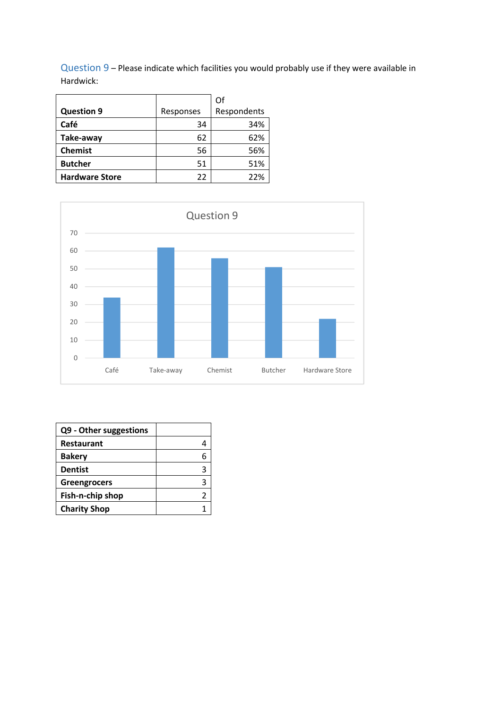Question 9 – Please indicate which facilities you would probably use if they were available in Hardwick:

|                       |           | Οf          |
|-----------------------|-----------|-------------|
| <b>Question 9</b>     | Responses | Respondents |
| Café                  | 34        | 34%         |
| Take-away             | 62        | 62%         |
| <b>Chemist</b>        | 56        | 56%         |
| <b>Butcher</b>        | 51        | 51%         |
| <b>Hardware Store</b> | 22        | 22%         |



| Q9 - Other suggestions |  |
|------------------------|--|
| <b>Restaurant</b>      |  |
| <b>Bakery</b>          |  |
| <b>Dentist</b>         |  |
| Greengrocers           |  |
| Fish-n-chip shop       |  |
| <b>Charity Shop</b>    |  |